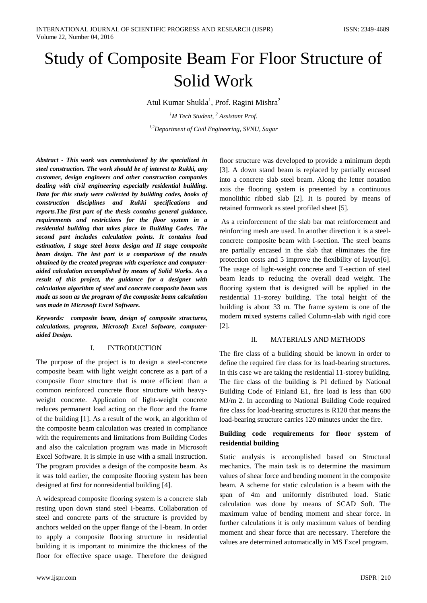# Study of Composite Beam For Floor Structure of Solid Work

Atul Kumar Shukla<sup>1</sup>, Prof. Ragini Mishra<sup>2</sup>

*<sup>1</sup>M Tech Student, <sup>2</sup> Assistant Prof. 1,2Department of Civil Engineering, SVNU, Sagar*

*Abstract - This work was commissioned by the specialized in steel construction. The work should be of interest to Rukki, any customer, design engineers and other construction companies dealing with civil engineering especially residential building. Data for this study were collected by building codes, books of construction disciplines and Rukki specifications and reports.The first part of the thesis contains general guidance, requirements and restrictions for the floor system in a residential building that takes place in Building Codes. The second part includes calculation points. It contains load estimation, I stage steel beam design and II stage composite beam design. The last part is a comparison of the results obtained by the created program with experience and computeraided calculation accomplished by means of Solid Works. As a result of this project, the guidance for a designer with calculation algorithm of steel and concrete composite beam was made as soon as the program of the composite beam calculation was made in Microsoft Excel Software.*

*Keywords: composite beam, design of composite structures, calculations, program, Microsoft Excel Software, computeraided Design.*

## I. INTRODUCTION

The purpose of the project is to design a steel-concrete composite beam with light weight concrete as a part of a composite floor structure that is more efficient than a common reinforced concrete floor structure with heavyweight concrete. Application of light-weight concrete reduces permanent load acting on the floor and the frame of the building [1]. As a result of the work, an algorithm of the composite beam calculation was created in compliance with the requirements and limitations from Building Codes and also the calculation program was made in Microsoft Excel Software. It is simple in use with a small instruction. The program provides a design of the composite beam. As it was told earlier, the composite flooring system has been designed at first for nonresidential building [4].

A widespread composite flooring system is a concrete slab resting upon down stand steel I-beams. Collaboration of steel and concrete parts of the structure is provided by anchors welded on the upper flange of the I-beam. In order to apply a composite flooring structure in residential building it is important to minimize the thickness of the floor for effective space usage. Therefore the designed

floor structure was developed to provide a minimum depth [3]. A down stand beam is replaced by partially encased into a concrete slab steel beam. Along the letter notation axis the flooring system is presented by a continuous monolithic ribbed slab [2]. It is poured by means of retained formwork as steel profiled sheet [5].

As a reinforcement of the slab bar mat reinforcement and reinforcing mesh are used. In another direction it is a steelconcrete composite beam with I-section. The steel beams are partially encased in the slab that eliminates the fire protection costs and 5 improve the flexibility of layout[6]. The usage of light-weight concrete and T-section of steel beam leads to reducing the overall dead weight. The flooring system that is designed will be applied in the residential 11-storey building. The total height of the building is about 33 m. The frame system is one of the modern mixed systems called Column-slab with rigid core [2].

## II. MATERIALS AND METHODS

The fire class of a building should be known in order to define the required fire class for its load-bearing structures. In this case we are taking the residential 11-storey building. The fire class of the building is P1 defined by National Building Code of Finland E1, fire load is less than 600 MJ/m 2. In according to National Building Code required fire class for load-bearing structures is R120 that means the load-bearing structure carries 120 minutes under the fire.

# **Building code requirements for floor system of residential building**

Static analysis is accomplished based on Structural mechanics. The main task is to determine the maximum values of shear force and bending moment in the composite beam. A scheme for static calculation is a beam with the span of 4m and uniformly distributed load. Static calculation was done by means of SCAD Soft. The maximum value of bending moment and shear force. In further calculations it is only maximum values of bending moment and shear force that are necessary. Therefore the values are determined automatically in MS Excel program.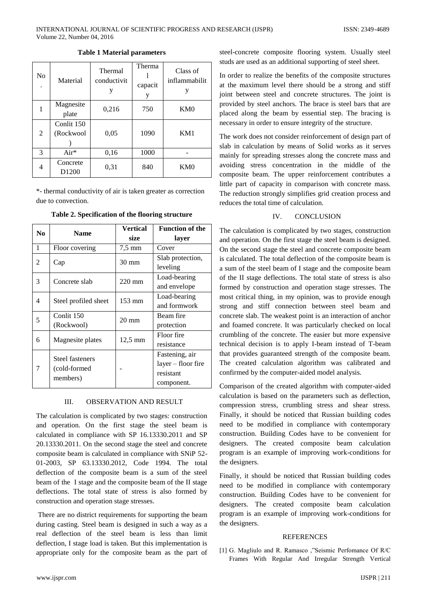| N <sub>0</sub> | Material                      | Thermal<br>conductivit<br>у | Therma<br>capacit<br>y | Class of<br>inflammabilit<br>y |
|----------------|-------------------------------|-----------------------------|------------------------|--------------------------------|
|                | Magnesite<br>plate            | 0,216                       | 750                    | KM <sub>0</sub>                |
| 2              | Conlit 150<br>(Rockwool       | 0,05                        | 1090                   | KM1                            |
| 3              | $Air*$                        | 0,16                        | 1000                   |                                |
| 4              | Concrete<br>D <sub>1200</sub> | 0,31                        | 840                    | KM <sub>0</sub>                |

**Table 1 Material parameters**

\*- thermal conductivity of air is taken greater as correction due to convection.

| No. | <b>Name</b>          | <b>Vertical</b>  | <b>Function of the</b> |
|-----|----------------------|------------------|------------------------|
|     |                      | size             | layer                  |
| 1   | Floor covering       | $7.5 \text{ mm}$ | Cover                  |
| 2   | Cap                  | $30 \text{ mm}$  | Slab protection,       |
|     |                      |                  | leveling               |
| 3   | Concrete slab        | $220 \text{ mm}$ | Load-bearing           |
|     |                      |                  | and envelope           |
| 4   | Steel profiled sheet | 153 mm           | Load-bearing           |
|     |                      |                  | and formwork           |
| 5   | Conlit 150           | $20 \text{ mm}$  | Beam fire              |
|     | (Rockwool)           |                  | protection             |
| 6   | Magnesite plates     | 12,5 mm          | Floor fire             |
|     |                      |                  | resistance             |
| 7   | Steel fasteners      |                  | Fastening, air         |
|     | (cold-formed)        |                  | $layer - floor fire$   |
|     | members)             |                  | resistant              |
|     |                      |                  | component.             |

**Table 2. Specification of the flooring structure**

#### III. OBSERVATION AND RESULT

The calculation is complicated by two stages: construction and operation. On the first stage the steel beam is calculated in compliance with SP 16.13330.2011 and SP 20.13330.2011. On the second stage the steel and concrete composite beam is calculated in compliance with SNiP 52- 01-2003, SP 63.13330.2012, Code 1994. The total deflection of the composite beam is a sum of the steel beam of the I stage and the composite beam of the II stage deflections. The total state of stress is also formed by construction and operation stage stresses.

There are no district requirements for supporting the beam during casting. Steel beam is designed in such a way as a real deflection of the steel beam is less than limit deflection, I stage load is taken. But this implementation is appropriate only for the composite beam as the part of steel-concrete composite flooring system. Usually steel studs are used as an additional supporting of steel sheet.

In order to realize the benefits of the composite structures at the maximum level there should be a strong and stiff joint between steel and concrete structures. The joint is provided by steel anchors. The brace is steel bars that are placed along the beam by essential step. The bracing is necessary in order to ensure integrity of the structure.

The work does not consider reinforcement of design part of slab in calculation by means of Solid works as it serves mainly for spreading stresses along the concrete mass and avoiding stress concentration in the middle of the composite beam. The upper reinforcement contributes a little part of capacity in comparison with concrete mass. The reduction strongly simplifies grid creation process and reduces the total time of calculation.

## IV. CONCLUSION

The calculation is complicated by two stages, construction and operation. On the first stage the steel beam is designed. On the second stage the steel and concrete composite beam is calculated. The total deflection of the composite beam is a sum of the steel beam of I stage and the composite beam of the II stage deflections. The total state of stress is also formed by construction and operation stage stresses. The most critical thing, in my opinion, was to provide enough strong and stiff connection between steel beam and concrete slab. The weakest point is an interaction of anchor and foamed concrete. It was particularly checked on local crumbling of the concrete. The easier but more expensive technical decision is to apply I-beam instead of T-beam that provides guaranteed strength of the composite beam. The created calculation algorithm was calibrated and confirmed by the computer-aided model analysis.

Comparison of the created algorithm with computer-aided calculation is based on the parameters such as deflection, compression stress, crumbling stress and shear stress. Finally, it should be noticed that Russian building codes need to be modified in compliance with contemporary construction. Building Codes have to be convenient for designers. The created composite beam calculation program is an example of improving work-conditions for the designers.

Finally, it should be noticed that Russian building codes need to be modified in compliance with contemporary construction. Building Codes have to be convenient for designers. The created composite beam calculation program is an example of improving work-conditions for the designers.

### **REFERENCES**

[1] G. Magliulo and R. Ramasco ,"Seismic Perfomance Of R/C Frames With Regular And Irregular Strength Vertical